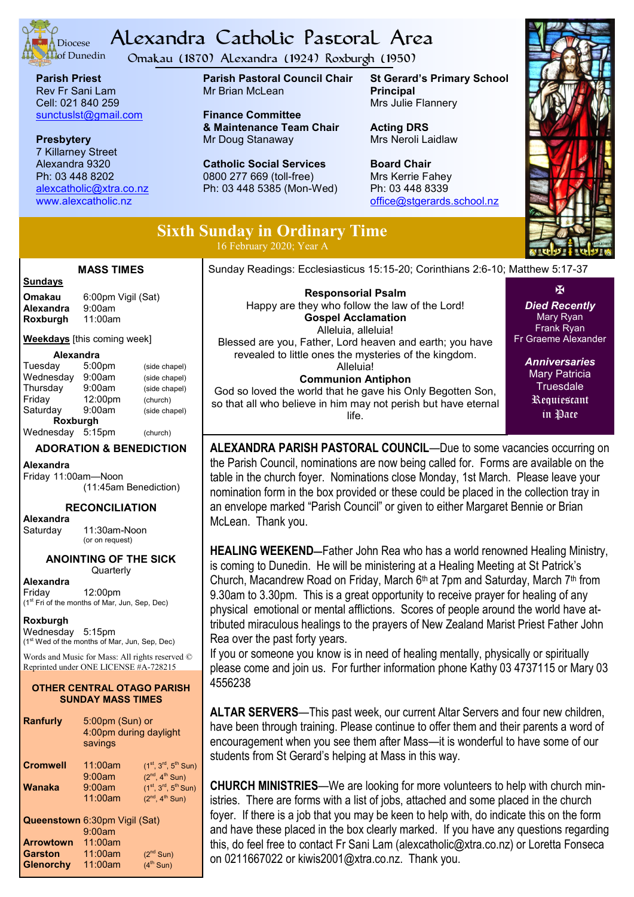

# Alexandra Catholic Pastoral Area

Omakau (1870) Alexandra (1924) Roxburgh (1950)

**Parish Priest** Rev Fr Sani Lam Cell: 021 840 259 [sunctuslst@gmail.com](mailto:mailto:sunctuslst@gmail.com)

**Presbytery** 7 Killarney Street Alexandra 9320 Ph: 03 448 8202 [alexcatholic@xtra.co.nz](mailto:mailto:alexcatholic@xtra.co.nz) www.alexcatholic.nz

**Parish Pastoral Council Chair** Mr Brian McLean

**Finance Committee & Maintenance Team Chair** Mr Doug Stanaway

**Catholic Social Services**  0800 277 669 (toll-free) Ph: 03 448 5385 (Mon-Wed)

**St Gerard's Primary School Principal** Mrs Julie Flannery

**Acting DRS** Mrs Neroli Laidlaw

**Board Chair** Mrs Kerrie Fahey Ph: 03 448 8339 [office@stgerards.school.nz](mailto:mailto:office@stgerards.school.nz)



## **Sixth Sunday in Ordinary Time**

16 February 2020; Year A

#### **MASS TIMES**

**Sundays**

**Omakau** 6:00pm Vigil (Sat)<br>**Alexandra** 9:00am **Alexandra** 9:00am<br>**Roxburgh** 11:00am **Roxburgh** 

**Weekdays** [this coming week]

#### **Alexandra**

| Tuesday   | 5:00 <sub>pm</sub> | (side chapel) |
|-----------|--------------------|---------------|
| Wednesday | 9:00am             | (side chapel) |
| Thursday  | 9:00am             | (side chapel) |
| Friday    | 12:00pm            | (church)      |
| Saturday  | 9:00am             | (side chapel) |
| Roxburgh  |                    |               |
| Wednesday | 5:15pm             | (church)      |

#### **ADORATION & BENEDICTION**

**Alexandra** Friday 11:00am—Noon (11:45am Benediction)

#### **RECONCILIATION**

**Alexandra**

11:30am-Noon (or on request)

#### **ANOINTING OF THE SICK Quarterly**

**Alexandra** 12:00pm

(1st Fri of the months of Mar, Jun, Sep, Dec)

**Roxburgh**

Wednesday 5:15pm (1<sup>st</sup> Wed of the months of Mar, Jun, Sep, Dec)

Words and Music for Mass: All rights reserved © Reprinted under ONE LICENSE #A-728215

#### **OTHER CENTRAL OTAGO PARISH SUNDAY MASS TIMES**

**Ranfurly** 5:00pm (Sun) or 4:00pm during daylight savings **Cromwell** 11:00am  $(1^{st}, 3^{rd}, 5^{th}$  Sun) 9:00am  $(2^{nd}, 4^{th}$  Sun)<br>9:00am  $(1^{st}, 3^{rd}, 5^{th}$  Sun **Wanaka** 9:00am (1<sup>st</sup>, 3<sup>rd</sup>, 5<sup>th</sup> Sun) 11:00am  $(2^{nd}, 4^{th}$  Sun) **Queenstown** 6:30pm Vigil (Sat) 9:00am

|                  | 9:00am  |                       |
|------------------|---------|-----------------------|
| <b>Arrowtown</b> | 11:00am |                       |
| Garston          | 11:00am | (2 <sup>nd</sup> Sun) |
| Glenorchy        | 11:00am | (4 <sup>th</sup> Sun) |
|                  |         |                       |

Sunday Readings: Ecclesiasticus 15:15-20; Corinthians 2:6-10; Matthew 5:17-37

**Responsorial Psalm**  Happy are they who follow the law of the Lord! **Gospel Acclamation** Alleluia, alleluia! Blessed are you, Father, Lord heaven and earth; you have revealed to little ones the mysteries of the kingdom. Alleluia! **Communion Antiphon** God so loved the world that he gave his Only Begotten Son,

so that all who believe in him may not perish but have eternal life.

*Died Recently* Mary Ryan Frank Ryan Fr Graeme Alexander

 $\overline{\mathbf{M}}$ 

*Anniversaries* Mary Patricia **Truesdale** Requiescant in Pace

**ALEXANDRA PARISH PASTORAL COUNCIL**—Due to some vacancies occurring on the Parish Council, nominations are now being called for. Forms are available on the table in the church foyer. Nominations close Monday, 1st March. Please leave your nomination form in the box provided or these could be placed in the collection tray in an envelope marked "Parish Council" or given to either Margaret Bennie or Brian McLean. Thank you.

**HEALING WEEKEND—**Father John Rea who has a world renowned Healing Ministry, is coming to Dunedin. He will be ministering at a Healing Meeting at St Patrick's Church, Macandrew Road on Friday, March 6<sup>th</sup> at 7pm and Saturday, March 7<sup>th</sup> from 9.30am to 3.30pm. This is a great opportunity to receive prayer for healing of any physical emotional or mental afflictions. Scores of people around the world have attributed miraculous healings to the prayers of New Zealand Marist Priest Father John Rea over the past forty years.

If you or someone you know is in need of healing mentally, physically or spiritually please come and join us. For further information phone Kathy 03 4737115 or Mary 03 4556238

**ALTAR SERVERS**—This past week, our current Altar Servers and four new children, have been through training. Please continue to offer them and their parents a word of encouragement when you see them after Mass—it is wonderful to have some of our students from St Gerard's helping at Mass in this way.

**CHURCH MINISTRIES**—We are looking for more volunteers to help with church ministries. There are forms with a list of jobs, attached and some placed in the church foyer. If there is a job that you may be keen to help with, do indicate this on the form and have these placed in the box clearly marked. If you have any questions regarding this, do feel free to contact Fr Sani Lam (alexcatholic@xtra.co.nz) or Loretta Fonseca on 0211667022 or kiwis2001@xtra.co.nz. Thank you.